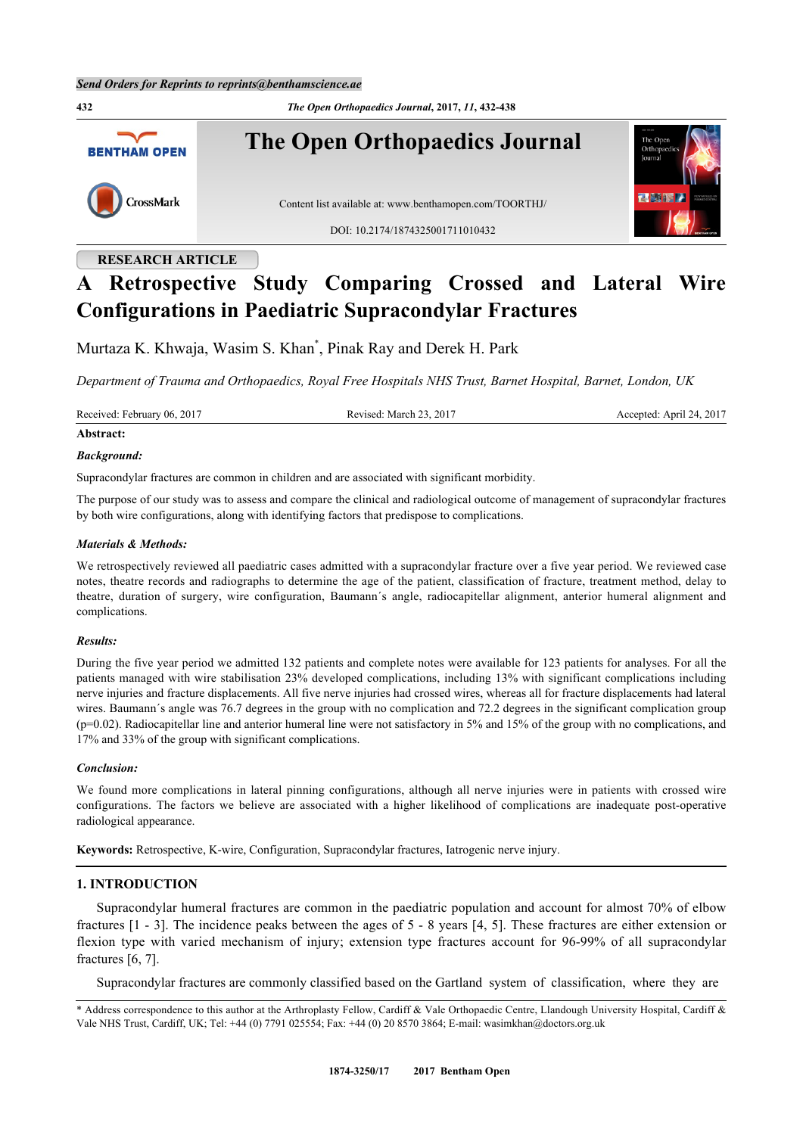

# **RESEARCH ARTICLE**

# **A Retrospective Study Comparing Crossed and Lateral Wire Configurations in Paediatric Supracondylar Fractures**

Murtaza K. Khwaja, Wasim S. Khan[\\*](#page-0-0) , Pinak Ray and Derek H. Park

*Department of Trauma and Orthopaedics, Royal Free Hospitals NHS Trust, Barnet Hospital, Barnet, London, UK*

Received: February 06, 2017 Revised: March 23, 2017 Accepted: April 24, 2017

# **Abstract:**

### *Background:*

Supracondylar fractures are common in children and are associated with significant morbidity.

The purpose of our study was to assess and compare the clinical and radiological outcome of management of supracondylar fractures by both wire configurations, along with identifying factors that predispose to complications.

### *Materials & Methods:*

We retrospectively reviewed all paediatric cases admitted with a supracondylar fracture over a five year period. We reviewed case notes, theatre records and radiographs to determine the age of the patient, classification of fracture, treatment method, delay to theatre, duration of surgery, wire configuration, Baumann´s angle, radiocapitellar alignment, anterior humeral alignment and complications.

#### *Results:*

During the five year period we admitted 132 patients and complete notes were available for 123 patients for analyses. For all the patients managed with wire stabilisation 23% developed complications, including 13% with significant complications including nerve injuries and fracture displacements. All five nerve injuries had crossed wires, whereas all for fracture displacements had lateral wires. Baumann's angle was 76.7 degrees in the group with no complication and 72.2 degrees in the significant complication group (p=0.02). Radiocapitellar line and anterior humeral line were not satisfactory in 5% and 15% of the group with no complications, and 17% and 33% of the group with significant complications.

### *Conclusion:*

We found more complications in lateral pinning configurations, although all nerve injuries were in patients with crossed wire configurations. The factors we believe are associated with a higher likelihood of complications are inadequate post-operative radiological appearance.

**Keywords:** Retrospective, K-wire, Configuration, Supracondylar fractures, Iatrogenic nerve injury.

## **1. INTRODUCTION**

Supracondylar humeral fractures are common in the paediatric population and account for almost 70% of elbow fractures [\[1](#page-4-0) - [3](#page-4-1)]. The incidence peaks between the ages of 5 - 8 years [[4,](#page-4-2) [5\]](#page-4-3). These fractures are either extension or flexion type with varied mechanism of injury; extension type fractures account for 96-99% of all supracondylar fractures [[6,](#page-4-4) [7\]](#page-4-5).

Supracondylar fractures are commonly classified based on the Gartland system of classification, where they are

<span id="page-0-0"></span><sup>\*</sup> Address correspondence to this author at the Arthroplasty Fellow, Cardiff & Vale Orthopaedic Centre, Llandough University Hospital, Cardiff & Vale NHS Trust, Cardiff, UK; Tel: +44 (0) 7791 025554; Fax: +44 (0) 20 8570 3864; E-mail: [wasimkhan@doctors.org.uk](mailto:wasimkhan@doctors.org.uk)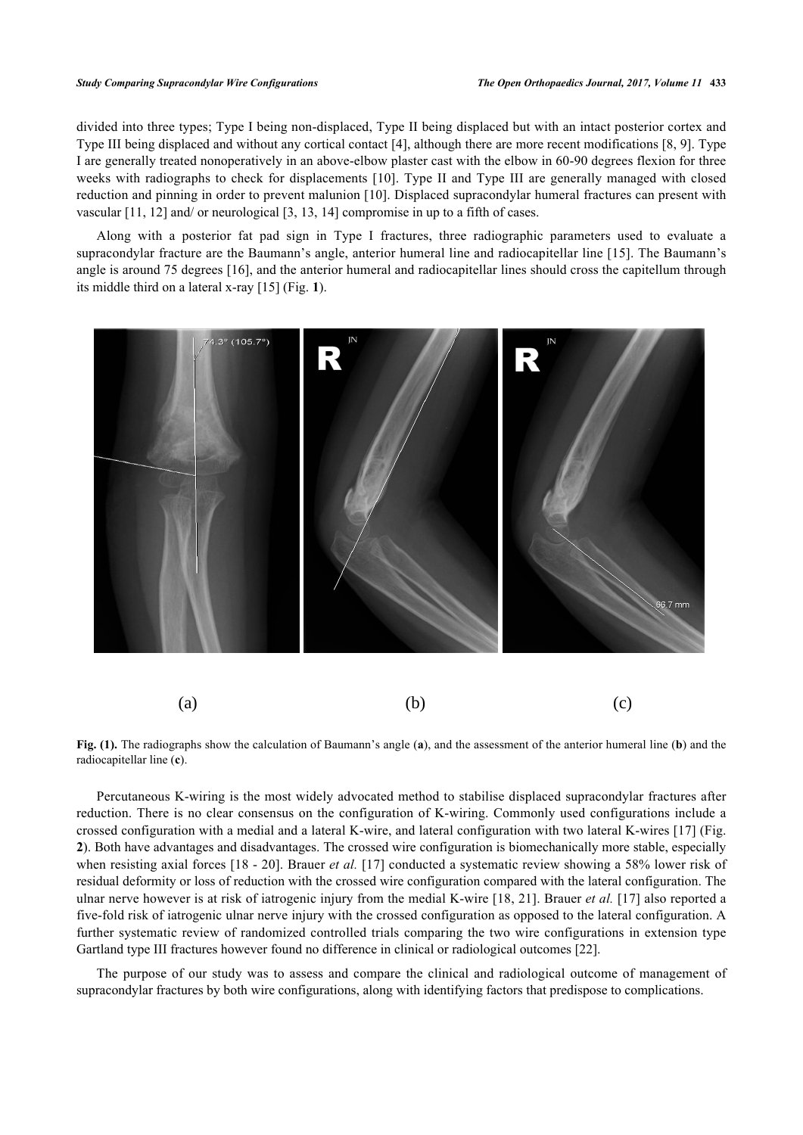divided into three types; Type I being non-displaced, Type II being displaced but with an intact posterior cortex and Type III being displaced and without any cortical contact [[4\]](#page-4-2), although there are more recent modifications [\[8](#page-4-6), [9](#page-4-7)]. Type I are generally treated nonoperatively in an above-elbow plaster cast with the elbow in 60-90 degrees flexion for three weeks with radiographs to check for displacements [[10](#page-4-8)]. Type II and Type III are generally managed with closed reduction and pinning in order to prevent malunion [[10\]](#page-4-8). Displaced supracondylar humeral fractures can present with vascular [[11,](#page-4-9) [12\]](#page-5-0) and/ or neurological [\[3](#page-4-1), [13](#page-5-1), [14](#page-5-2)] compromise in up to a fifth of cases.

Along with a posterior fat pad sign in Type I fractures, three radiographic parameters used to evaluate a supracondylar fracture are the Baumann's angle, anterior humeral line and radiocapitellar line [[15](#page-5-3)]. The Baumann's angle is around 75 degrees [[16\]](#page-5-4), and the anterior humeral and radiocapitellar lines should cross the capitellum through its middle third on a lateral x-ray [\[15](#page-5-3)] (Fig. **[1](#page-1-0)**).

<span id="page-1-0"></span>

**Fig. (1).** The radiographs show the calculation of Baumann's angle (**a**), and the assessment of the anterior humeral line (**b**) and the radiocapitellar line (**c**).

Percutaneous K-wiring is the most widely advocated method to stabilise displaced supracondylar fractures after reduction. There is no clear consensus on the configuration of K-wiring. Commonly used configurations include a crossed configuration with a medial and a lateral K-wire, and lateral configuration with two lateral K-wires [[17\]](#page-5-5) (Fig. **[2](#page-1-1)**). Both have advantages and disadvantages. The crossed wire configuration is biomechanically more stable, especially when resisting axial forces [\[18](#page-5-6) - [20](#page-5-7)]. Brauer *et al.* [[17\]](#page-5-5) conducted a systematic review showing a 58% lower risk of residual deformity or loss of reduction with the crossed wire configuration compared with the lateral configuration. The ulnar nerve however is at risk of iatrogenic injury from the medial K-wire [[18](#page-5-6), [21\]](#page-5-8). Brauer *et al.* [\[17\]](#page-5-5) also reported a five-fold risk of iatrogenic ulnar nerve injury with the crossed configuration as opposed to the lateral configuration. A further systematic review of randomized controlled trials comparing the two wire configurations in extension type Gartland type III fractures however found no difference in clinical or radiological outcomes [[22\]](#page-5-9).

<span id="page-1-1"></span>The purpose of our study was to assess and compare the clinical and radiological outcome of management of supracondylar fractures by both wire configurations, along with identifying factors that predispose to complications.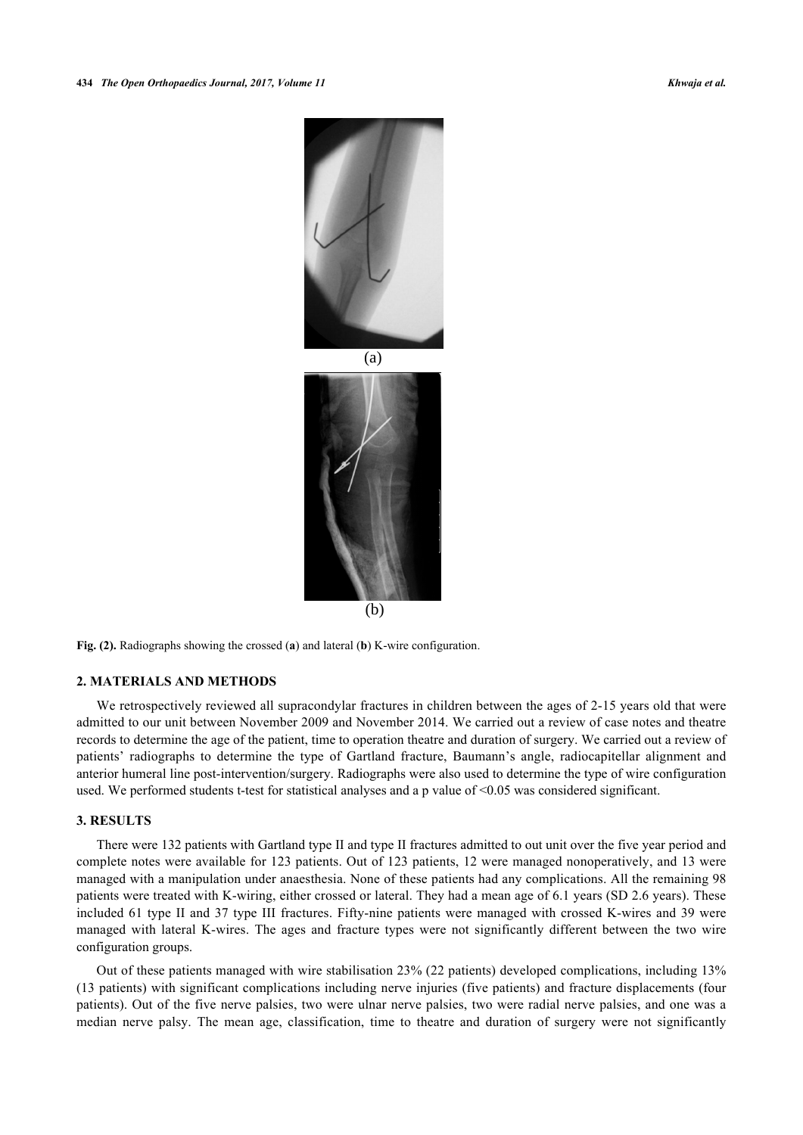

**Fig. (2).** Radiographs showing the crossed (**a**) and lateral (**b**) K-wire configuration.

## **2. MATERIALS AND METHODS**

We retrospectively reviewed all supracondylar fractures in children between the ages of 2-15 years old that were admitted to our unit between November 2009 and November 2014. We carried out a review of case notes and theatre records to determine the age of the patient, time to operation theatre and duration of surgery. We carried out a review of patients' radiographs to determine the type of Gartland fracture, Baumann's angle, radiocapitellar alignment and anterior humeral line post-intervention/surgery. Radiographs were also used to determine the type of wire configuration used. We performed students t-test for statistical analyses and a p value of <0.05 was considered significant.

### **3. RESULTS**

There were 132 patients with Gartland type II and type II fractures admitted to out unit over the five year period and complete notes were available for 123 patients. Out of 123 patients, 12 were managed nonoperatively, and 13 were managed with a manipulation under anaesthesia. None of these patients had any complications. All the remaining 98 patients were treated with K-wiring, either crossed or lateral. They had a mean age of 6.1 years (SD 2.6 years). These included 61 type II and 37 type III fractures. Fifty-nine patients were managed with crossed K-wires and 39 were managed with lateral K-wires. The ages and fracture types were not significantly different between the two wire configuration groups.

Out of these patients managed with wire stabilisation 23% (22 patients) developed complications, including 13% (13 patients) with significant complications including nerve injuries (five patients) and fracture displacements (four patients). Out of the five nerve palsies, two were ulnar nerve palsies, two were radial nerve palsies, and one was a median nerve palsy. The mean age, classification, time to theatre and duration of surgery were not significantly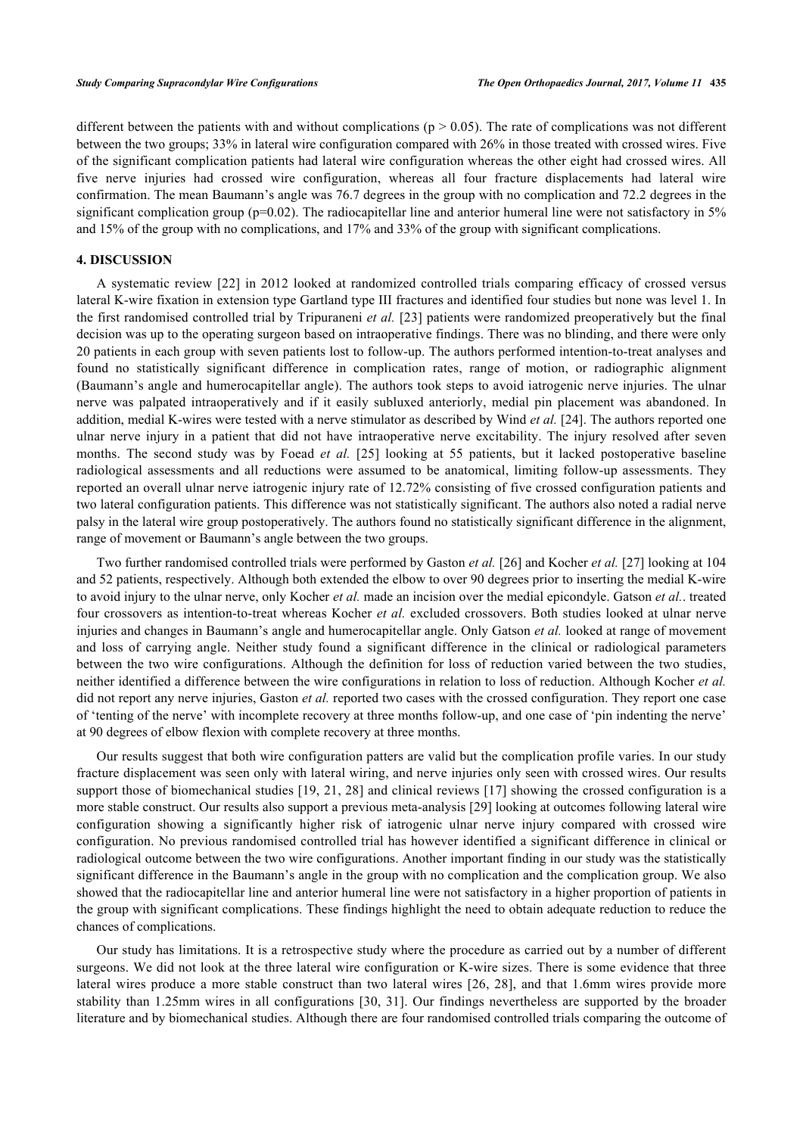different between the patients with and without complications ( $p > 0.05$ ). The rate of complications was not different between the two groups; 33% in lateral wire configuration compared with 26% in those treated with crossed wires. Five of the significant complication patients had lateral wire configuration whereas the other eight had crossed wires. All five nerve injuries had crossed wire configuration, whereas all four fracture displacements had lateral wire confirmation. The mean Baumann's angle was 76.7 degrees in the group with no complication and 72.2 degrees in the significant complication group ( $p=0.02$ ). The radiocapitellar line and anterior humeral line were not satisfactory in 5% and 15% of the group with no complications, and 17% and 33% of the group with significant complications.

# **4. DISCUSSION**

A systematic review [[22\]](#page-5-9) in 2012 looked at randomized controlled trials comparing efficacy of crossed versus lateral K-wire fixation in extension type Gartland type III fractures and identified four studies but none was level 1. In the first randomised controlled trial by Tripuraneni *et al.* [[23\]](#page-5-10) patients were randomized preoperatively but the final decision was up to the operating surgeon based on intraoperative findings. There was no blinding, and there were only 20 patients in each group with seven patients lost to follow-up. The authors performed intention-to-treat analyses and found no statistically significant difference in complication rates, range of motion, or radiographic alignment (Baumann's angle and humerocapitellar angle). The authors took steps to avoid iatrogenic nerve injuries. The ulnar nerve was palpated intraoperatively and if it easily subluxed anteriorly, medial pin placement was abandoned. In addition, medial K-wires were tested with a nerve stimulator as described by Wind *et al.* [\[24](#page-5-11)]. The authors reported one ulnar nerve injury in a patient that did not have intraoperative nerve excitability. The injury resolved after seven months. The second study was by Foead *et al.* [[25\]](#page-5-12) looking at 55 patients, but it lacked postoperative baseline radiological assessments and all reductions were assumed to be anatomical, limiting follow-up assessments. They reported an overall ulnar nerve iatrogenic injury rate of 12.72% consisting of five crossed configuration patients and two lateral configuration patients. This difference was not statistically significant. The authors also noted a radial nerve palsy in the lateral wire group postoperatively. The authors found no statistically significant difference in the alignment, range of movement or Baumann's angle between the two groups.

Two further randomised controlled trials were performed by Gaston *et al.* [[26\]](#page-5-13) and Kocher *et al.* [[27\]](#page-5-14) looking at 104 and 52 patients, respectively. Although both extended the elbow to over 90 degrees prior to inserting the medial K-wire to avoid injury to the ulnar nerve, only Kocher *et al.* made an incision over the medial epicondyle. Gatson *et al.*. treated four crossovers as intention-to-treat whereas Kocher *et al.* excluded crossovers. Both studies looked at ulnar nerve injuries and changes in Baumann's angle and humerocapitellar angle. Only Gatson *et al.* looked at range of movement and loss of carrying angle. Neither study found a significant difference in the clinical or radiological parameters between the two wire configurations. Although the definition for loss of reduction varied between the two studies, neither identified a difference between the wire configurations in relation to loss of reduction. Although Kocher *et al.* did not report any nerve injuries, Gaston *et al.* reported two cases with the crossed configuration. They report one case of 'tenting of the nerve' with incomplete recovery at three months follow-up, and one case of 'pin indenting the nerve' at 90 degrees of elbow flexion with complete recovery at three months.

Our results suggest that both wire configuration patters are valid but the complication profile varies. In our study fracture displacement was seen only with lateral wiring, and nerve injuries only seen with crossed wires. Our results support those of biomechanical studies [\[19,](#page-5-15) [21](#page-5-8), [28](#page-5-16)] and clinical reviews [\[17](#page-5-5)] showing the crossed configuration is a more stable construct. Our results also support a previous meta-analysis [\[29](#page-5-17)] looking at outcomes following lateral wire configuration showing a significantly higher risk of iatrogenic ulnar nerve injury compared with crossed wire configuration. No previous randomised controlled trial has however identified a significant difference in clinical or radiological outcome between the two wire configurations. Another important finding in our study was the statistically significant difference in the Baumann's angle in the group with no complication and the complication group. We also showed that the radiocapitellar line and anterior humeral line were not satisfactory in a higher proportion of patients in the group with significant complications. These findings highlight the need to obtain adequate reduction to reduce the chances of complications.

Our study has limitations. It is a retrospective study where the procedure as carried out by a number of different surgeons. We did not look at the three lateral wire configuration or K-wire sizes. There is some evidence that three lateral wires produce a more stable construct than two lateral wires [\[26](#page-5-13), [28\]](#page-5-16), and that 1.6mm wires provide more stability than 1.25mm wires in all configurations [[30](#page-5-18), [31](#page-5-19)]. Our findings nevertheless are supported by the broader literature and by biomechanical studies. Although there are four randomised controlled trials comparing the outcome of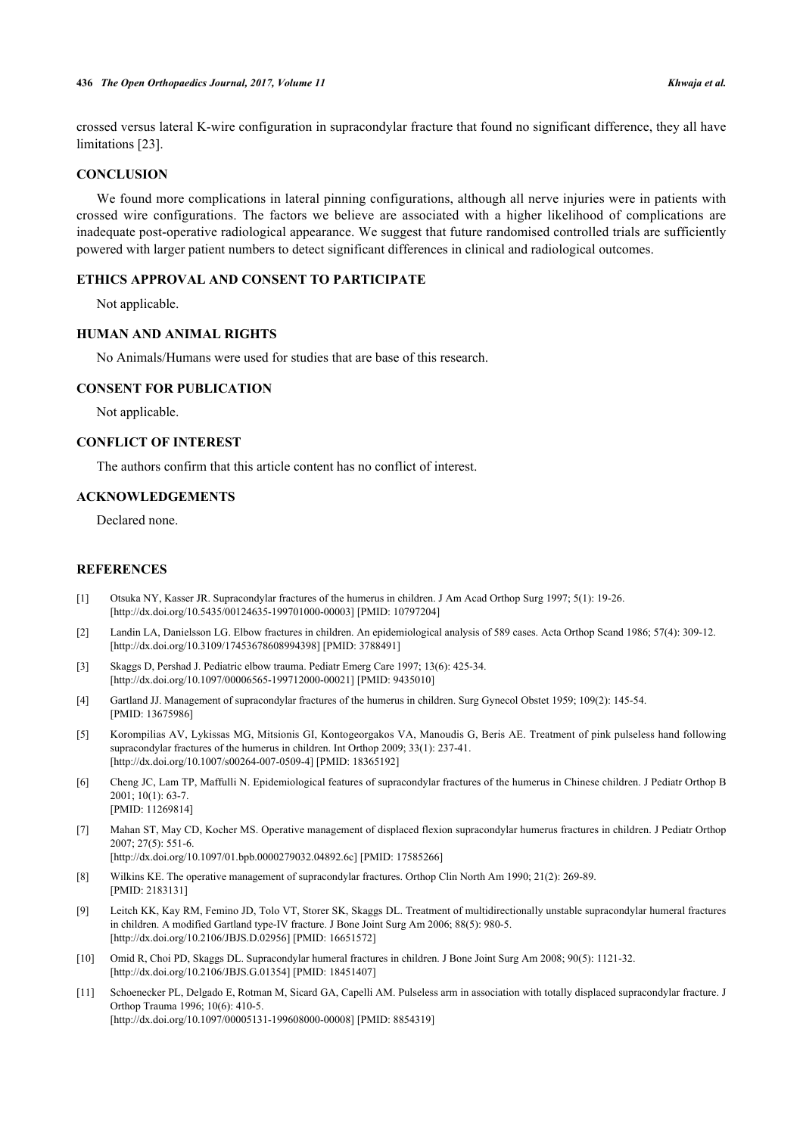crossed versus lateral K-wire configuration in supracondylar fracture that found no significant difference, they all have limitations [\[23](#page-5-10)].

## **CONCLUSION**

We found more complications in lateral pinning configurations, although all nerve injuries were in patients with crossed wire configurations. The factors we believe are associated with a higher likelihood of complications are inadequate post-operative radiological appearance. We suggest that future randomised controlled trials are sufficiently powered with larger patient numbers to detect significant differences in clinical and radiological outcomes.

#### **ETHICS APPROVAL AND CONSENT TO PARTICIPATE**

Not applicable.

## **HUMAN AND ANIMAL RIGHTS**

No Animals/Humans were used for studies that are base of this research.

#### **CONSENT FOR PUBLICATION**

Not applicable.

## **CONFLICT OF INTEREST**

The authors confirm that this article content has no conflict of interest.

# **ACKNOWLEDGEMENTS**

Declared none.

## **REFERENCES**

- <span id="page-4-0"></span>[1] Otsuka NY, Kasser JR. Supracondylar fractures of the humerus in children. J Am Acad Orthop Surg 1997; 5(1): 19-26. [\[http://dx.doi.org/10.5435/00124635-199701000-00003](http://dx.doi.org/10.5435/00124635-199701000-00003)] [PMID: [10797204\]](http://www.ncbi.nlm.nih.gov/pubmed/10797204)
- [2] Landin LA, Danielsson LG. Elbow fractures in children. An epidemiological analysis of 589 cases. Acta Orthop Scand 1986; 57(4): 309-12. [\[http://dx.doi.org/10.3109/17453678608994398\]](http://dx.doi.org/10.3109/17453678608994398) [PMID: [3788491](http://www.ncbi.nlm.nih.gov/pubmed/3788491)]
- <span id="page-4-1"></span>[3] Skaggs D, Pershad J. Pediatric elbow trauma. Pediatr Emerg Care 1997; 13(6): 425-34. [\[http://dx.doi.org/10.1097/00006565-199712000-00021](http://dx.doi.org/10.1097/00006565-199712000-00021)] [PMID: [9435010\]](http://www.ncbi.nlm.nih.gov/pubmed/9435010)
- <span id="page-4-2"></span>[4] Gartland JJ. Management of supracondylar fractures of the humerus in children. Surg Gynecol Obstet 1959; 109(2): 145-54. [PMID: [13675986\]](http://www.ncbi.nlm.nih.gov/pubmed/13675986)
- <span id="page-4-3"></span>[5] Korompilias AV, Lykissas MG, Mitsionis GI, Kontogeorgakos VA, Manoudis G, Beris AE. Treatment of pink pulseless hand following supracondylar fractures of the humerus in children. Int Orthop 2009; 33(1): 237-41. [\[http://dx.doi.org/10.1007/s00264-007-0509-4\]](http://dx.doi.org/10.1007/s00264-007-0509-4) [PMID: [18365192](http://www.ncbi.nlm.nih.gov/pubmed/18365192)]
- <span id="page-4-4"></span>[6] Cheng JC, Lam TP, Maffulli N. Epidemiological features of supracondylar fractures of the humerus in Chinese children. J Pediatr Orthop B 2001; 10(1): 63-7. [PMID: [11269814\]](http://www.ncbi.nlm.nih.gov/pubmed/11269814)
- <span id="page-4-5"></span>[7] Mahan ST, May CD, Kocher MS. Operative management of displaced flexion supracondylar humerus fractures in children. J Pediatr Orthop 2007; 27(5): 551-6.
	- [\[http://dx.doi.org/10.1097/01.bpb.0000279032.04892.6c](http://dx.doi.org/10.1097/01.bpb.0000279032.04892.6c)] [PMID: [17585266\]](http://www.ncbi.nlm.nih.gov/pubmed/17585266)
- <span id="page-4-6"></span>[8] Wilkins KE. The operative management of supracondylar fractures. Orthop Clin North Am 1990; 21(2): 269-89. [PMID: [2183131\]](http://www.ncbi.nlm.nih.gov/pubmed/2183131)
- <span id="page-4-7"></span>[9] Leitch KK, Kay RM, Femino JD, Tolo VT, Storer SK, Skaggs DL. Treatment of multidirectionally unstable supracondylar humeral fractures in children. A modified Gartland type-IV fracture. J Bone Joint Surg Am 2006; 88(5): 980-5. [\[http://dx.doi.org/10.2106/JBJS.D.02956\]](http://dx.doi.org/10.2106/JBJS.D.02956) [PMID: [16651572](http://www.ncbi.nlm.nih.gov/pubmed/16651572)]
- <span id="page-4-8"></span>[10] Omid R, Choi PD, Skaggs DL. Supracondylar humeral fractures in children. J Bone Joint Surg Am 2008; 90(5): 1121-32. [\[http://dx.doi.org/10.2106/JBJS.G.01354\]](http://dx.doi.org/10.2106/JBJS.G.01354) [PMID: [18451407](http://www.ncbi.nlm.nih.gov/pubmed/18451407)]
- <span id="page-4-9"></span>[11] Schoenecker PL, Delgado E, Rotman M, Sicard GA, Capelli AM. Pulseless arm in association with totally displaced supracondylar fracture. J Orthop Trauma 1996; 10(6): 410-5. [\[http://dx.doi.org/10.1097/00005131-199608000-00008](http://dx.doi.org/10.1097/00005131-199608000-00008)] [PMID: [8854319\]](http://www.ncbi.nlm.nih.gov/pubmed/8854319)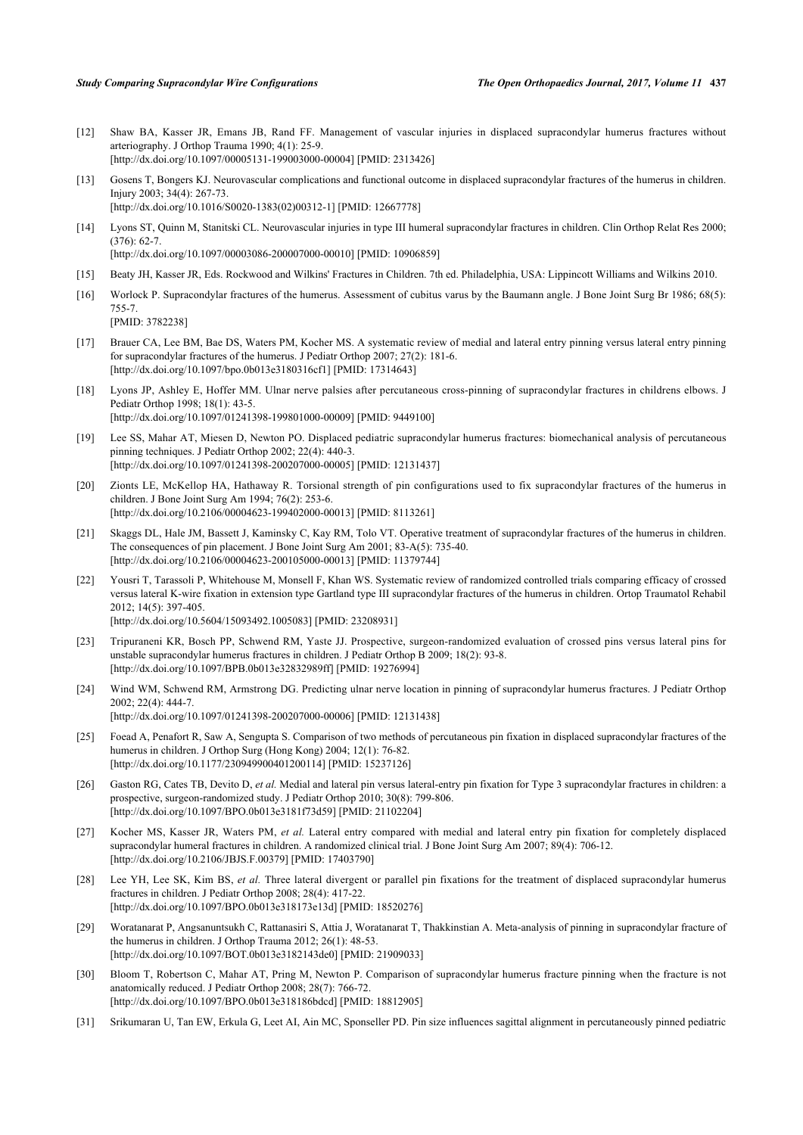- <span id="page-5-0"></span>[12] Shaw BA, Kasser JR, Emans JB, Rand FF. Management of vascular injuries in displaced supracondylar humerus fractures without arteriography. J Orthop Trauma 1990; 4(1): 25-9. [\[http://dx.doi.org/10.1097/00005131-199003000-00004](http://dx.doi.org/10.1097/00005131-199003000-00004)] [PMID: [2313426\]](http://www.ncbi.nlm.nih.gov/pubmed/2313426)
- <span id="page-5-1"></span>[13] Gosens T, Bongers KJ. Neurovascular complications and functional outcome in displaced supracondylar fractures of the humerus in children. Injury 2003; 34(4): 267-73. [\[http://dx.doi.org/10.1016/S0020-1383\(02\)00312-1\]](http://dx.doi.org/10.1016/S0020-1383(02)00312-1) [PMID: [12667778](http://www.ncbi.nlm.nih.gov/pubmed/12667778)]
- <span id="page-5-2"></span>[14] Lyons ST, Quinn M, Stanitski CL. Neurovascular injuries in type III humeral supracondylar fractures in children. Clin Orthop Relat Res 2000;  $(376): 62-7$ [\[http://dx.doi.org/10.1097/00003086-200007000-00010](http://dx.doi.org/10.1097/00003086-200007000-00010)] [PMID: [10906859\]](http://www.ncbi.nlm.nih.gov/pubmed/10906859)
- <span id="page-5-3"></span>[15] Beaty JH, Kasser JR, Eds. Rockwood and Wilkins' Fractures in Children. 7th ed. Philadelphia, USA: Lippincott Williams and Wilkins 2010.
- <span id="page-5-4"></span>[16] Worlock P. Supracondylar fractures of the humerus. Assessment of cubitus varus by the Baumann angle. J Bone Joint Surg Br 1986; 68(5): 755-7. [PMID: [3782238\]](http://www.ncbi.nlm.nih.gov/pubmed/3782238)
- <span id="page-5-5"></span>[17] Brauer CA, Lee BM, Bae DS, Waters PM, Kocher MS. A systematic review of medial and lateral entry pinning versus lateral entry pinning for supracondylar fractures of the humerus. J Pediatr Orthop 2007; 27(2): 181-6. [\[http://dx.doi.org/10.1097/bpo.0b013e3180316cf1\]](http://dx.doi.org/10.1097/bpo.0b013e3180316cf1) [PMID: [17314643](http://www.ncbi.nlm.nih.gov/pubmed/17314643)]
- <span id="page-5-6"></span>[18] Lyons JP, Ashley E, Hoffer MM. Ulnar nerve palsies after percutaneous cross-pinning of supracondylar fractures in childrens elbows. J Pediatr Orthop 1998; 18(1): 43-5. [\[http://dx.doi.org/10.1097/01241398-199801000-00009](http://dx.doi.org/10.1097/01241398-199801000-00009)] [PMID: [9449100\]](http://www.ncbi.nlm.nih.gov/pubmed/9449100)
- <span id="page-5-15"></span>[19] Lee SS, Mahar AT, Miesen D, Newton PO. Displaced pediatric supracondylar humerus fractures: biomechanical analysis of percutaneous pinning techniques. J Pediatr Orthop 2002; 22(4): 440-3. [\[http://dx.doi.org/10.1097/01241398-200207000-00005](http://dx.doi.org/10.1097/01241398-200207000-00005)] [PMID: [12131437\]](http://www.ncbi.nlm.nih.gov/pubmed/12131437)
- <span id="page-5-7"></span>[20] Zionts LE, McKellop HA, Hathaway R. Torsional strength of pin configurations used to fix supracondylar fractures of the humerus in children. J Bone Joint Surg Am 1994; 76(2): 253-6. [\[http://dx.doi.org/10.2106/00004623-199402000-00013](http://dx.doi.org/10.2106/00004623-199402000-00013)] [PMID: [8113261\]](http://www.ncbi.nlm.nih.gov/pubmed/8113261)
- <span id="page-5-8"></span>[21] Skaggs DL, Hale JM, Bassett J, Kaminsky C, Kay RM, Tolo VT. Operative treatment of supracondylar fractures of the humerus in children. The consequences of pin placement. J Bone Joint Surg Am 2001; 83-A(5): 735-40. [\[http://dx.doi.org/10.2106/00004623-200105000-00013](http://dx.doi.org/10.2106/00004623-200105000-00013)] [PMID: [11379744\]](http://www.ncbi.nlm.nih.gov/pubmed/11379744)
- <span id="page-5-9"></span>[22] Yousri T, Tarassoli P, Whitehouse M, Monsell F, Khan WS. Systematic review of randomized controlled trials comparing efficacy of crossed versus lateral K-wire fixation in extension type Gartland type III supracondylar fractures of the humerus in children. Ortop Traumatol Rehabil 2012; 14(5): 397-405. [\[http://dx.doi.org/10.5604/15093492.1005083\]](http://dx.doi.org/10.5604/15093492.1005083) [PMID: [23208931](http://www.ncbi.nlm.nih.gov/pubmed/23208931)]
- <span id="page-5-10"></span>[23] Tripuraneni KR, Bosch PP, Schwend RM, Yaste JJ. Prospective, surgeon-randomized evaluation of crossed pins versus lateral pins for unstable supracondylar humerus fractures in children. J Pediatr Orthop B 2009; 18(2): 93-8.
- <span id="page-5-19"></span><span id="page-5-18"></span><span id="page-5-17"></span><span id="page-5-16"></span><span id="page-5-14"></span><span id="page-5-13"></span><span id="page-5-12"></span><span id="page-5-11"></span>[\[http://dx.doi.org/10.1097/BPB.0b013e32832989ff\]](http://dx.doi.org/10.1097/BPB.0b013e32832989ff) [PMID: [19276994](http://www.ncbi.nlm.nih.gov/pubmed/19276994)] [24] Wind WM, Schwend RM, Armstrong DG. Predicting ulnar nerve location in pinning of supracondylar humerus fractures. J Pediatr Orthop
	- 2002; 22(4): 444-7. [\[http://dx.doi.org/10.1097/01241398-200207000-00006](http://dx.doi.org/10.1097/01241398-200207000-00006)] [PMID: [12131438\]](http://www.ncbi.nlm.nih.gov/pubmed/12131438)
	- [25] Foead A, Penafort R, Saw A, Sengupta S. Comparison of two methods of percutaneous pin fixation in displaced supracondylar fractures of the humerus in children. J Orthop Surg (Hong Kong) 2004; 12(1): 76-82. [\[http://dx.doi.org/10.1177/230949900401200114\]](http://dx.doi.org/10.1177/230949900401200114) [PMID: [15237126](http://www.ncbi.nlm.nih.gov/pubmed/15237126)]
	- [26] Gaston RG, Cates TB, Devito D, et al. Medial and lateral pin versus lateral-entry pin fixation for Type 3 supracondylar fractures in children: a prospective, surgeon-randomized study. J Pediatr Orthop 2010; 30(8): 799-806. [\[http://dx.doi.org/10.1097/BPO.0b013e3181f73d59\]](http://dx.doi.org/10.1097/BPO.0b013e3181f73d59) [PMID: [21102204](http://www.ncbi.nlm.nih.gov/pubmed/21102204)]
	- [27] Kocher MS, Kasser JR, Waters PM, *et al.* Lateral entry compared with medial and lateral entry pin fixation for completely displaced supracondylar humeral fractures in children. A randomized clinical trial. J Bone Joint Surg Am 2007; 89(4): 706-12. [\[http://dx.doi.org/10.2106/JBJS.F.00379](http://dx.doi.org/10.2106/JBJS.F.00379)] [PMID: [17403790\]](http://www.ncbi.nlm.nih.gov/pubmed/17403790)
	- [28] Lee YH, Lee SK, Kim BS, *et al.* Three lateral divergent or parallel pin fixations for the treatment of displaced supracondylar humerus fractures in children. J Pediatr Orthop 2008; 28(4): 417-22. [\[http://dx.doi.org/10.1097/BPO.0b013e318173e13d](http://dx.doi.org/10.1097/BPO.0b013e318173e13d)] [PMID: [18520276](http://www.ncbi.nlm.nih.gov/pubmed/18520276)]
	- [29] Woratanarat P, Angsanuntsukh C, Rattanasiri S, Attia J, Woratanarat T, Thakkinstian A. Meta-analysis of pinning in supracondylar fracture of the humerus in children. J Orthop Trauma 2012; 26(1): 48-53. [\[http://dx.doi.org/10.1097/BOT.0b013e3182143de0\]](http://dx.doi.org/10.1097/BOT.0b013e3182143de0) [PMID: [21909033](http://www.ncbi.nlm.nih.gov/pubmed/21909033)]
	- [30] Bloom T, Robertson C, Mahar AT, Pring M, Newton P. Comparison of supracondylar humerus fracture pinning when the fracture is not anatomically reduced. J Pediatr Orthop 2008; 28(7): 766-72. [\[http://dx.doi.org/10.1097/BPO.0b013e318186bdcd](http://dx.doi.org/10.1097/BPO.0b013e318186bdcd)] [PMID: [18812905](http://www.ncbi.nlm.nih.gov/pubmed/18812905)]
	- [31] Srikumaran U, Tan EW, Erkula G, Leet AI, Ain MC, Sponseller PD. Pin size influences sagittal alignment in percutaneously pinned pediatric